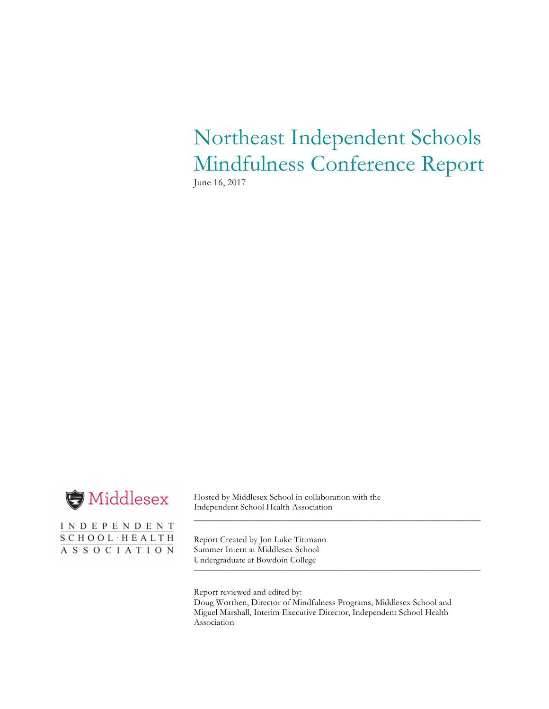Northeast Independent Schools Mindfulness Conference Report June 16, 2017



INDEPENDENT SCHOOL · HEALTH ASSOCIATION

Hosted by Middlesex School in collaboration with the Independent School Health Association

Report Created by Jon Luke Tittmann Summer Intern at Middlesex School Undergraduate at Bowdoin College

Report reviewed and edited by: Doug Worthen, Director of Mindfulness Programs, Middlesex School and Miguel Marshall, Interim Executive Director, Independent School Health Association

\_\_\_\_\_\_\_\_\_\_\_\_\_\_\_\_\_\_\_\_\_\_\_\_\_\_\_\_\_\_\_\_\_\_\_\_\_\_\_\_\_\_\_\_\_\_\_\_\_\_\_\_\_\_\_\_\_\_\_\_\_\_\_\_

————————————————————————————————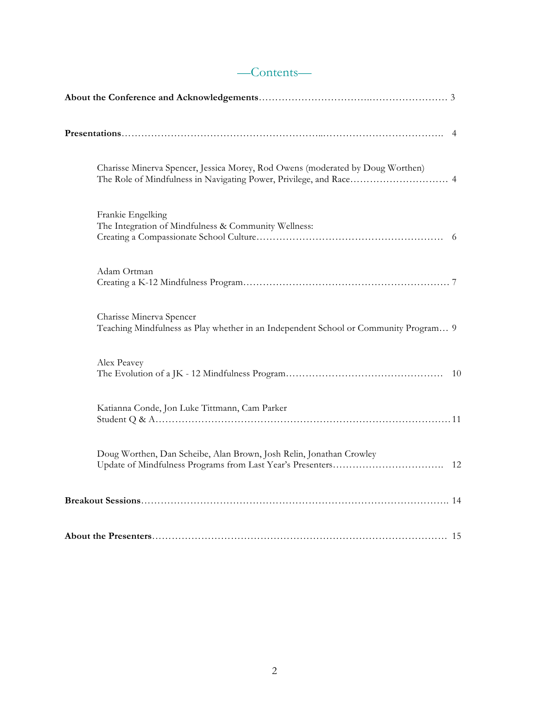| Charisse Minerva Spencer, Jessica Morey, Rod Owens (moderated by Doug Worthen)                                   |
|------------------------------------------------------------------------------------------------------------------|
| Frankie Engelking<br>The Integration of Mindfulness & Community Wellness:                                        |
| Adam Ortman                                                                                                      |
| Charisse Minerva Spencer<br>Teaching Mindfulness as Play whether in an Independent School or Community Program 9 |
| Alex Peavey                                                                                                      |
| Katianna Conde, Jon Luke Tittmann, Cam Parker                                                                    |
| Doug Worthen, Dan Scheibe, Alan Brown, Josh Relin, Jonathan Crowley                                              |
|                                                                                                                  |
|                                                                                                                  |

# —Contents—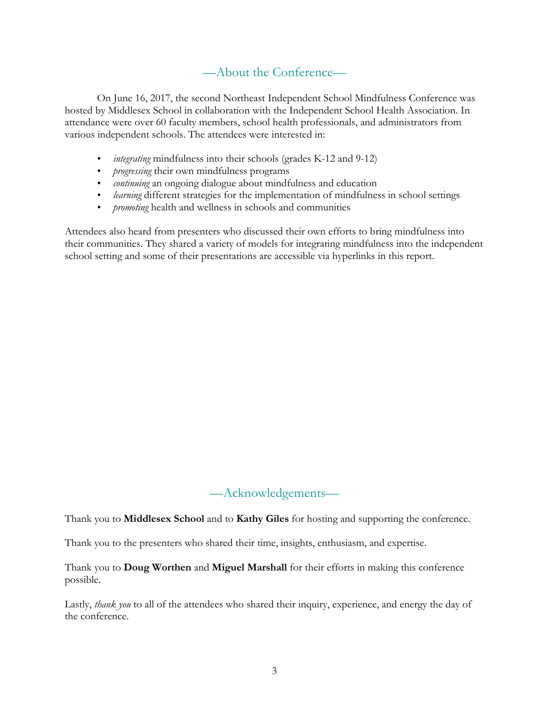# —About the Conference—

On June 16, 2017, the second Northeast Independent School Mindfulness Conference was hosted by Middlesex School in collaboration with the Independent School Health Association. In attendance were over 60 faculty members, school health professionals, and administrators from various independent schools. The attendees were interested in:

- *integrating* mindfulness into their schools (grades K-12 and 9-12)
- *progressing* their own mindfulness programs
- *continuing* an ongoing dialogue about mindfulness and education
- *learning* different strategies for the implementation of mindfulness in school settings
- *promoting* health and wellness in schools and communities

Attendees also heard from presenters who discussed their own efforts to bring mindfulness into their communities. They shared a variety of models for integrating mindfulness into the independent school setting and some of their presentations are accessible via hyperlinks in this report.

### —Acknowledgements—

Thank you to **Middlesex School** and to **Kathy Giles** for hosting and supporting the conference.

Thank you to the presenters who shared their time, insights, enthusiasm, and expertise.

Thank you to **Doug Worthen** and **Miguel Marshall** for their efforts in making this conference possible.

Lastly, *thank you* to all of the attendees who shared their inquiry, experience, and energy the day of the conference.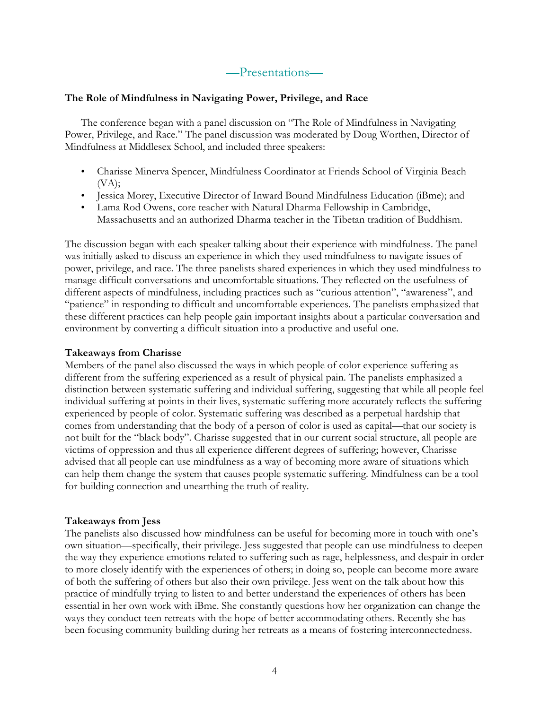### —Presentations—

### **The Role of Mindfulness in Navigating Power, Privilege, and Race**

The conference began with a panel discussion on "The Role of Mindfulness in Navigating Power, Privilege, and Race." The panel discussion was moderated by Doug Worthen, Director of Mindfulness at Middlesex School, and included three speakers:

- Charisse Minerva Spencer, Mindfulness Coordinator at Friends School of Virginia Beach  $(VA);$
- Jessica Morey, Executive Director of Inward Bound Mindfulness Education (iBme); and
- Lama Rod Owens, core teacher with Natural Dharma Fellowship in Cambridge, Massachusetts and an authorized Dharma teacher in the Tibetan tradition of Buddhism.

The discussion began with each speaker talking about their experience with mindfulness. The panel was initially asked to discuss an experience in which they used mindfulness to navigate issues of power, privilege, and race. The three panelists shared experiences in which they used mindfulness to manage difficult conversations and uncomfortable situations. They reflected on the usefulness of different aspects of mindfulness, including practices such as "curious attention", "awareness", and "patience" in responding to difficult and uncomfortable experiences. The panelists emphasized that these different practices can help people gain important insights about a particular conversation and environment by converting a difficult situation into a productive and useful one.

#### **Takeaways from Charisse**

Members of the panel also discussed the ways in which people of color experience suffering as different from the suffering experienced as a result of physical pain. The panelists emphasized a distinction between systematic suffering and individual suffering, suggesting that while all people feel individual suffering at points in their lives, systematic suffering more accurately reflects the suffering experienced by people of color. Systematic suffering was described as a perpetual hardship that comes from understanding that the body of a person of color is used as capital—that our society is not built for the "black body". Charisse suggested that in our current social structure, all people are victims of oppression and thus all experience different degrees of suffering; however, Charisse advised that all people can use mindfulness as a way of becoming more aware of situations which can help them change the system that causes people systematic suffering. Mindfulness can be a tool for building connection and unearthing the truth of reality.

### **Takeaways from Jess**

The panelists also discussed how mindfulness can be useful for becoming more in touch with one's own situation—specifically, their privilege. Jess suggested that people can use mindfulness to deepen the way they experience emotions related to suffering such as rage, helplessness, and despair in order to more closely identify with the experiences of others; in doing so, people can become more aware of both the suffering of others but also their own privilege. Jess went on the talk about how this practice of mindfully trying to listen to and better understand the experiences of others has been essential in her own work with iBme. She constantly questions how her organization can change the ways they conduct teen retreats with the hope of better accommodating others. Recently she has been focusing community building during her retreats as a means of fostering interconnectedness.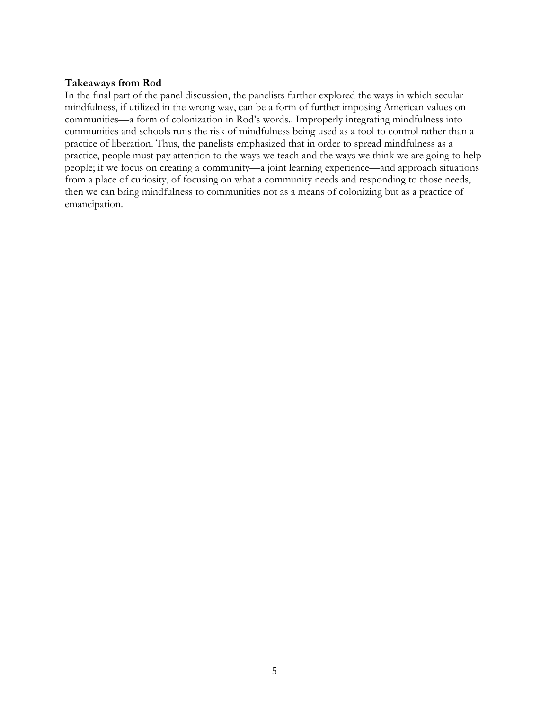### **Takeaways from Rod**

In the final part of the panel discussion, the panelists further explored the ways in which secular mindfulness, if utilized in the wrong way, can be a form of further imposing American values on communities—a form of colonization in Rod's words.. Improperly integrating mindfulness into communities and schools runs the risk of mindfulness being used as a tool to control rather than a practice of liberation. Thus, the panelists emphasized that in order to spread mindfulness as a practice, people must pay attention to the ways we teach and the ways we think we are going to help people; if we focus on creating a community—a joint learning experience—and approach situations from a place of curiosity, of focusing on what a community needs and responding to those needs, then we can bring mindfulness to communities not as a means of colonizing but as a practice of emancipation.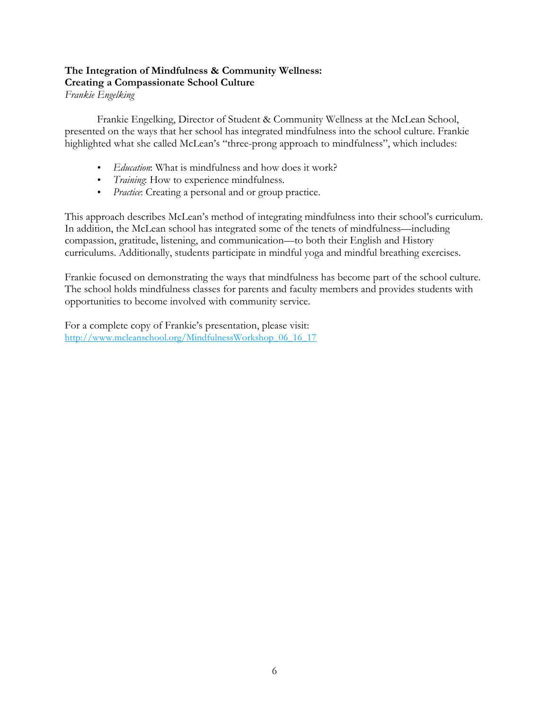# **The Integration of Mindfulness & Community Wellness: Creating a Compassionate School Culture**

*Frankie Engelking*

Frankie Engelking, Director of Student & Community Wellness at the McLean School, presented on the ways that her school has integrated mindfulness into the school culture. Frankie highlighted what she called McLean's "three-prong approach to mindfulness", which includes:

- *Education*: What is mindfulness and how does it work?
- *Training*: How to experience mindfulness.
- *Practice*: Creating a personal and or group practice.

This approach describes McLean's method of integrating mindfulness into their school's curriculum. In addition, the McLean school has integrated some of the tenets of mindfulness—including compassion, gratitude, listening, and communication—to both their English and History curriculums. Additionally, students participate in mindful yoga and mindful breathing exercises.

Frankie focused on demonstrating the ways that mindfulness has become part of the school culture. The school holds mindfulness classes for parents and faculty members and provides students with opportunities to become involved with community service.

For a complete copy of Frankie's presentation, please visit: http://www.mcleanschool.org/MindfulnessWorkshop\_06\_16\_17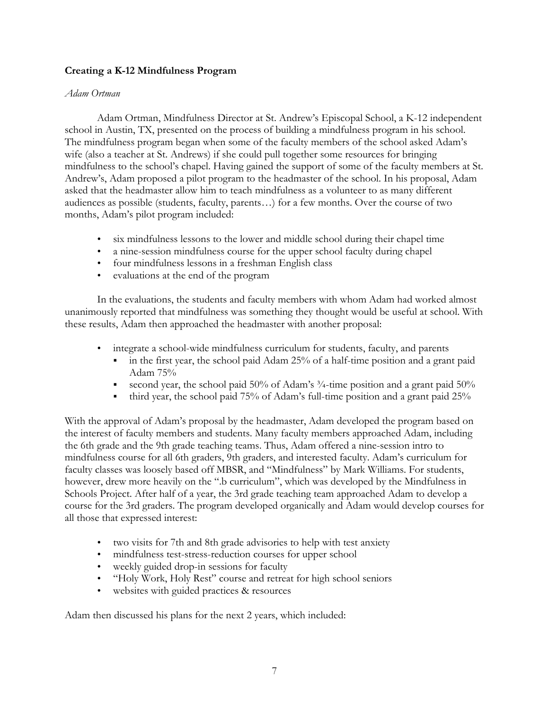### **Creating a K-12 Mindfulness Program**

### *Adam Ortman*

Adam Ortman, Mindfulness Director at St. Andrew's Episcopal School, a K-12 independent school in Austin, TX, presented on the process of building a mindfulness program in his school. The mindfulness program began when some of the faculty members of the school asked Adam's wife (also a teacher at St. Andrews) if she could pull together some resources for bringing mindfulness to the school's chapel. Having gained the support of some of the faculty members at St. Andrew's, Adam proposed a pilot program to the headmaster of the school. In his proposal, Adam asked that the headmaster allow him to teach mindfulness as a volunteer to as many different audiences as possible (students, faculty, parents…) for a few months. Over the course of two months, Adam's pilot program included:

- six mindfulness lessons to the lower and middle school during their chapel time
- a nine-session mindfulness course for the upper school faculty during chapel
- four mindfulness lessons in a freshman English class
- evaluations at the end of the program

In the evaluations, the students and faculty members with whom Adam had worked almost unanimously reported that mindfulness was something they thought would be useful at school. With these results, Adam then approached the headmaster with another proposal:

- integrate a school-wide mindfulness curriculum for students, faculty, and parents
	- in the first year, the school paid Adam 25% of a half-time position and a grant paid Adam 75%
	- second year, the school paid 50% of Adam's <sup>3</sup>/<sub>4</sub>-time position and a grant paid 50%
	- third year, the school paid 75% of Adam's full-time position and a grant paid 25%

With the approval of Adam's proposal by the headmaster, Adam developed the program based on the interest of faculty members and students. Many faculty members approached Adam, including the 6th grade and the 9th grade teaching teams. Thus, Adam offered a nine-session intro to mindfulness course for all 6th graders, 9th graders, and interested faculty. Adam's curriculum for faculty classes was loosely based off MBSR, and "Mindfulness" by Mark Williams. For students, however, drew more heavily on the ".b curriculum", which was developed by the Mindfulness in Schools Project. After half of a year, the 3rd grade teaching team approached Adam to develop a course for the 3rd graders. The program developed organically and Adam would develop courses for all those that expressed interest:

- two visits for 7th and 8th grade advisories to help with test anxiety
- mindfulness test-stress-reduction courses for upper school
- weekly guided drop-in sessions for faculty
- "Holy Work, Holy Rest" course and retreat for high school seniors
- websites with guided practices & resources

Adam then discussed his plans for the next 2 years, which included: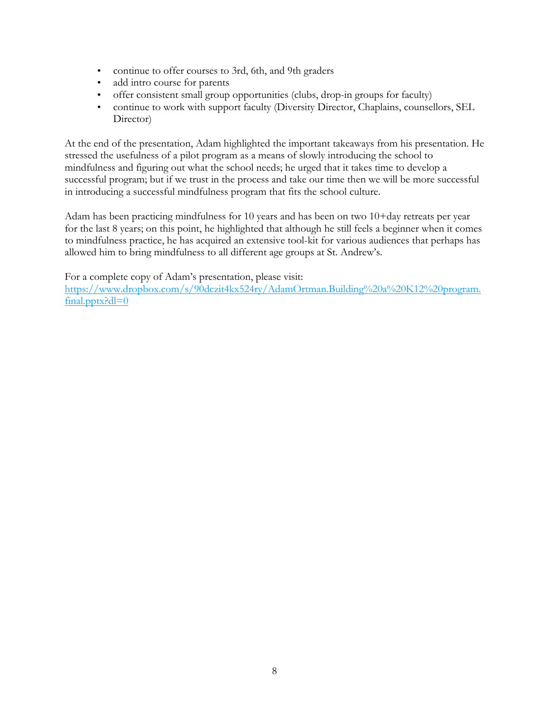- continue to offer courses to 3rd, 6th, and 9th graders
- add intro course for parents
- offer consistent small group opportunities (clubs, drop-in groups for faculty)
- continue to work with support faculty (Diversity Director, Chaplains, counsellors, SEL Director)

At the end of the presentation, Adam highlighted the important takeaways from his presentation. He stressed the usefulness of a pilot program as a means of slowly introducing the school to mindfulness and figuring out what the school needs; he urged that it takes time to develop a successful program; but if we trust in the process and take our time then we will be more successful in introducing a successful mindfulness program that fits the school culture.

Adam has been practicing mindfulness for 10 years and has been on two 10+day retreats per year for the last 8 years; on this point, he highlighted that although he still feels a beginner when it comes to mindfulness practice, he has acquired an extensive tool-kit for various audiences that perhaps has allowed him to bring mindfulness to all different age groups at St. Andrew's.

For a complete copy of Adam's presentation, please visit:

https://www.dropbox.com/s/90dczit4kx524ry/AdamOrtman.Building%20a%20K12%20program. final.pptx?dl=0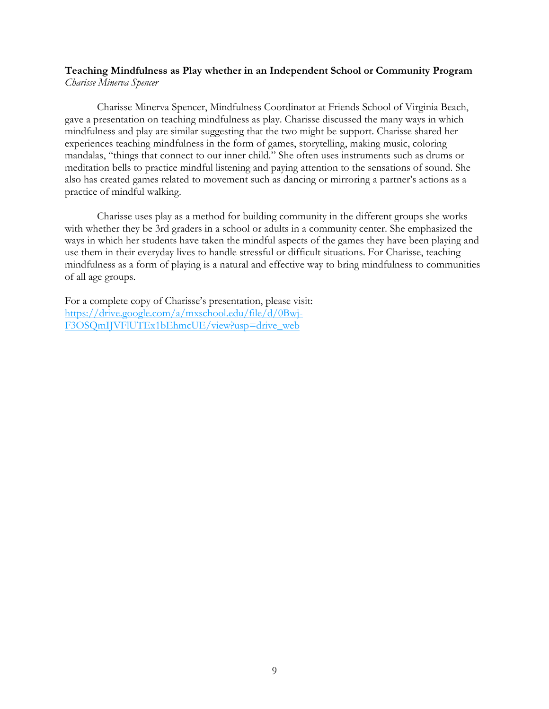### **Teaching Mindfulness as Play whether in an Independent School or Community Program** *Charisse Minerva Spencer*

Charisse Minerva Spencer, Mindfulness Coordinator at Friends School of Virginia Beach, gave a presentation on teaching mindfulness as play. Charisse discussed the many ways in which mindfulness and play are similar suggesting that the two might be support. Charisse shared her experiences teaching mindfulness in the form of games, storytelling, making music, coloring mandalas, "things that connect to our inner child." She often uses instruments such as drums or meditation bells to practice mindful listening and paying attention to the sensations of sound. She also has created games related to movement such as dancing or mirroring a partner's actions as a practice of mindful walking.

Charisse uses play as a method for building community in the different groups she works with whether they be 3rd graders in a school or adults in a community center. She emphasized the ways in which her students have taken the mindful aspects of the games they have been playing and use them in their everyday lives to handle stressful or difficult situations. For Charisse, teaching mindfulness as a form of playing is a natural and effective way to bring mindfulness to communities of all age groups.

For a complete copy of Charisse's presentation, please visit: https://drive.google.com/a/mxschool.edu/file/d/0Bwj-F3OSQmIJVFlUTEx1bEhmcUE/view?usp=drive\_web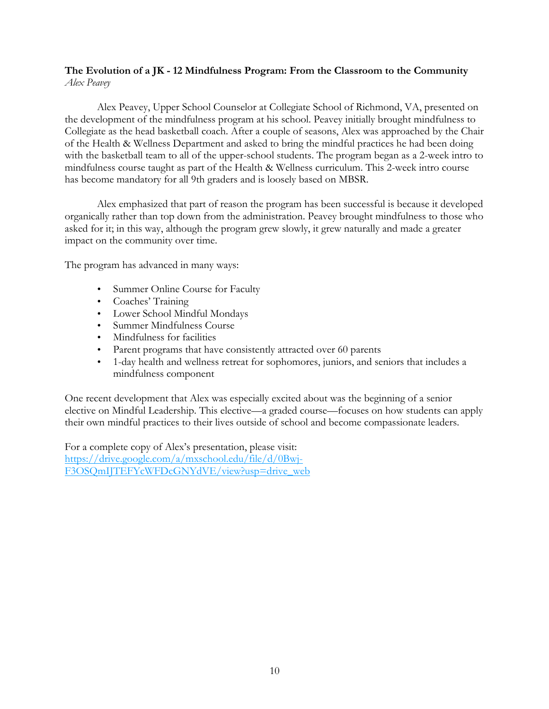### **The Evolution of a JK - 12 Mindfulness Program: From the Classroom to the Community** *Alex Peavey*

Alex Peavey, Upper School Counselor at Collegiate School of Richmond, VA, presented on the development of the mindfulness program at his school. Peavey initially brought mindfulness to Collegiate as the head basketball coach. After a couple of seasons, Alex was approached by the Chair of the Health & Wellness Department and asked to bring the mindful practices he had been doing with the basketball team to all of the upper-school students. The program began as a 2-week intro to mindfulness course taught as part of the Health & Wellness curriculum. This 2-week intro course has become mandatory for all 9th graders and is loosely based on MBSR.

Alex emphasized that part of reason the program has been successful is because it developed organically rather than top down from the administration. Peavey brought mindfulness to those who asked for it; in this way, although the program grew slowly, it grew naturally and made a greater impact on the community over time.

The program has advanced in many ways:

- Summer Online Course for Faculty
- Coaches' Training
- Lower School Mindful Mondays
- Summer Mindfulness Course
- Mindfulness for facilities
- Parent programs that have consistently attracted over 60 parents
- 1-day health and wellness retreat for sophomores, juniors, and seniors that includes a mindfulness component

One recent development that Alex was especially excited about was the beginning of a senior elective on Mindful Leadership. This elective—a graded course—focuses on how students can apply their own mindful practices to their lives outside of school and become compassionate leaders.

For a complete copy of Alex's presentation, please visit: https://drive.google.com/a/mxschool.edu/file/d/0Bwj-F3OSQmIJTEFYcWFDcGNYdVE/view?usp=drive\_web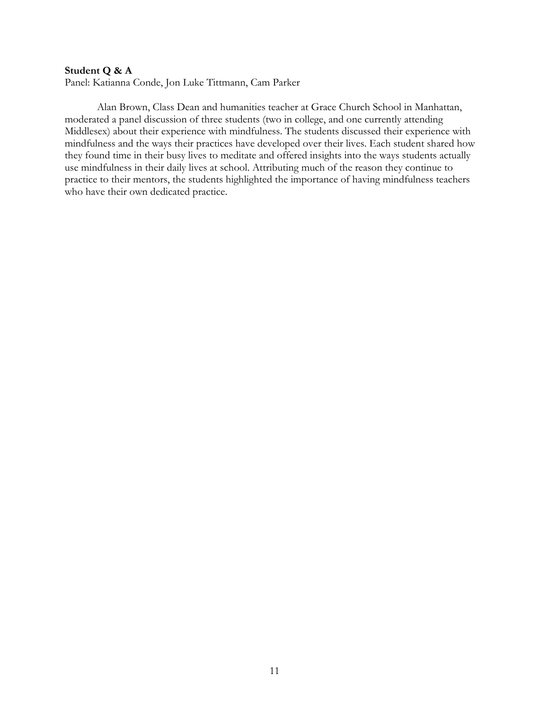#### **Student Q & A**

Panel: Katianna Conde, Jon Luke Tittmann, Cam Parker

Alan Brown, Class Dean and humanities teacher at Grace Church School in Manhattan, moderated a panel discussion of three students (two in college, and one currently attending Middlesex) about their experience with mindfulness. The students discussed their experience with mindfulness and the ways their practices have developed over their lives. Each student shared how they found time in their busy lives to meditate and offered insights into the ways students actually use mindfulness in their daily lives at school. Attributing much of the reason they continue to practice to their mentors, the students highlighted the importance of having mindfulness teachers who have their own dedicated practice.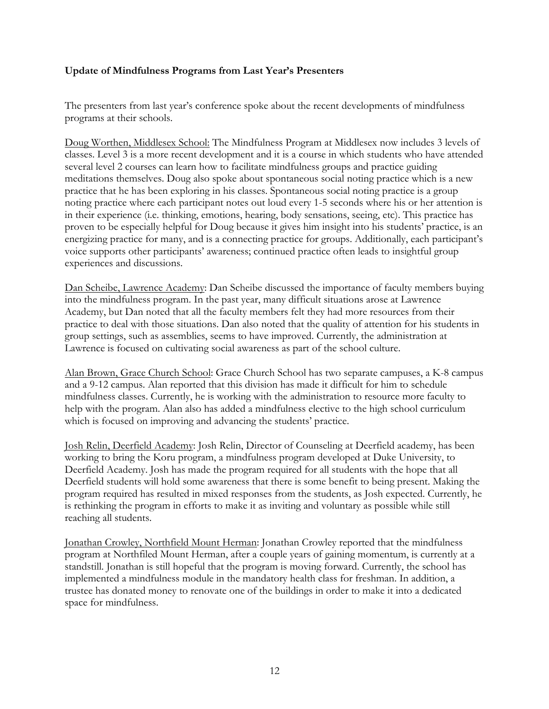### **Update of Mindfulness Programs from Last Year's Presenters**

The presenters from last year's conference spoke about the recent developments of mindfulness programs at their schools.

Doug Worthen, Middlesex School: The Mindfulness Program at Middlesex now includes 3 levels of classes. Level 3 is a more recent development and it is a course in which students who have attended several level 2 courses can learn how to facilitate mindfulness groups and practice guiding meditations themselves. Doug also spoke about spontaneous social noting practice which is a new practice that he has been exploring in his classes. Spontaneous social noting practice is a group noting practice where each participant notes out loud every 1-5 seconds where his or her attention is in their experience (i.e. thinking, emotions, hearing, body sensations, seeing, etc). This practice has proven to be especially helpful for Doug because it gives him insight into his students' practice, is an energizing practice for many, and is a connecting practice for groups. Additionally, each participant's voice supports other participants' awareness; continued practice often leads to insightful group experiences and discussions.

Dan Scheibe, Lawrence Academy: Dan Scheibe discussed the importance of faculty members buying into the mindfulness program. In the past year, many difficult situations arose at Lawrence Academy, but Dan noted that all the faculty members felt they had more resources from their practice to deal with those situations. Dan also noted that the quality of attention for his students in group settings, such as assemblies, seems to have improved. Currently, the administration at Lawrence is focused on cultivating social awareness as part of the school culture.

Alan Brown, Grace Church School: Grace Church School has two separate campuses, a K-8 campus and a 9-12 campus. Alan reported that this division has made it difficult for him to schedule mindfulness classes. Currently, he is working with the administration to resource more faculty to help with the program. Alan also has added a mindfulness elective to the high school curriculum which is focused on improving and advancing the students' practice.

Josh Relin, Deerfield Academy: Josh Relin, Director of Counseling at Deerfield academy, has been working to bring the Koru program, a mindfulness program developed at Duke University, to Deerfield Academy. Josh has made the program required for all students with the hope that all Deerfield students will hold some awareness that there is some benefit to being present. Making the program required has resulted in mixed responses from the students, as Josh expected. Currently, he is rethinking the program in efforts to make it as inviting and voluntary as possible while still reaching all students.

Jonathan Crowley, Northfield Mount Herman: Jonathan Crowley reported that the mindfulness program at Northfiled Mount Herman, after a couple years of gaining momentum, is currently at a standstill. Jonathan is still hopeful that the program is moving forward. Currently, the school has implemented a mindfulness module in the mandatory health class for freshman. In addition, a trustee has donated money to renovate one of the buildings in order to make it into a dedicated space for mindfulness.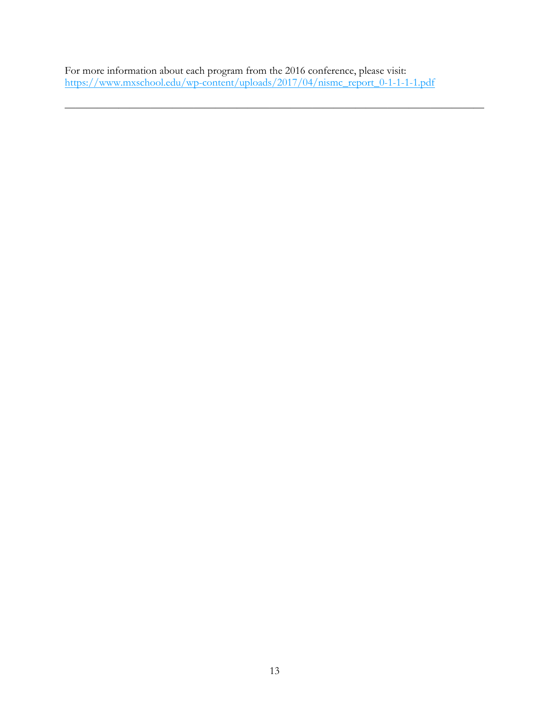For more information about each program from the 2016 conference, please visit: https://www.mxschool.edu/wp-content/uploads/2017/04/nismc\_report\_0-1-1-1-1.pdf

 $\overline{\phantom{a}}$  , and the contract of the contract of the contract of the contract of the contract of the contract of the contract of the contract of the contract of the contract of the contract of the contract of the contrac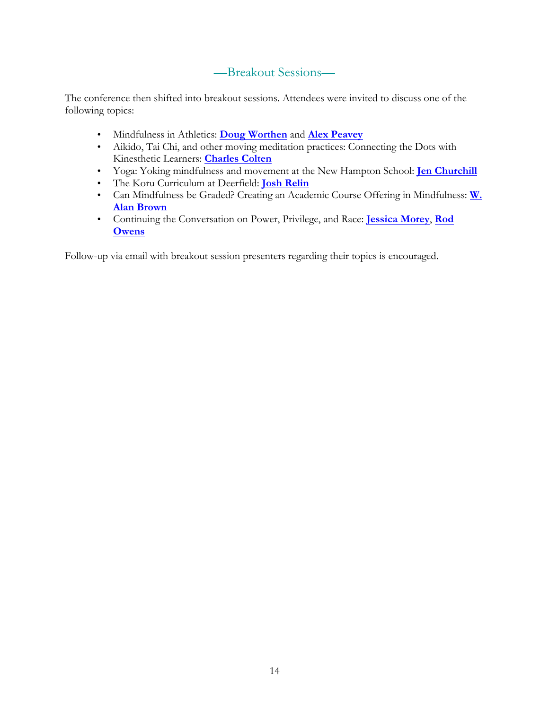# —Breakout Sessions—

The conference then shifted into breakout sessions. Attendees were invited to discuss one of the following topics:

- Mindfulness in Athletics: **Doug Worthen** and **Alex Peavey**
- Aikido, Tai Chi, and other moving meditation practices: Connecting the Dots with Kinesthetic Learners: **Charles Colten**
- Yoga: Yoking mindfulness and movement at the New Hampton School: **Jen Churchill**
- The Koru Curriculum at Deerfield: **Josh Relin**
- Can Mindfulness be Graded? Creating an Academic Course Offering in Mindfulness: **W. Alan Brown**
- Continuing the Conversation on Power, Privilege, and Race: **Jessica Morey**, **Rod Owens**

Follow-up via email with breakout session presenters regarding their topics is encouraged.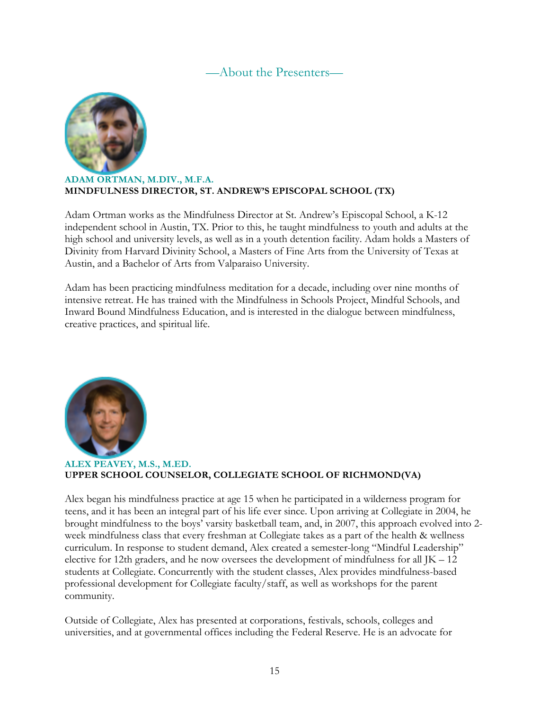## —About the Presenters—



### **ADAM ORTMAN, M.DIV., M.F.A. MINDFULNESS DIRECTOR, ST. ANDREW'S EPISCOPAL SCHOOL (TX)**

Adam Ortman works as the Mindfulness Director at St. Andrew's Episcopal School, a K-12 independent school in Austin, TX. Prior to this, he taught mindfulness to youth and adults at the high school and university levels, as well as in a youth detention facility. Adam holds a Masters of Divinity from Harvard Divinity School, a Masters of Fine Arts from the University of Texas at Austin, and a Bachelor of Arts from Valparaiso University.

Adam has been practicing mindfulness meditation for a decade, including over nine months of intensive retreat. He has trained with the Mindfulness in Schools Project, Mindful Schools, and Inward Bound Mindfulness Education, and is interested in the dialogue between mindfulness, creative practices, and spiritual life.



### **ALEX PEAVEY, M.S., M.ED. UPPER SCHOOL COUNSELOR, COLLEGIATE SCHOOL OF RICHMOND(VA)**

Alex began his mindfulness practice at age 15 when he participated in a wilderness program for teens, and it has been an integral part of his life ever since. Upon arriving at Collegiate in 2004, he brought mindfulness to the boys' varsity basketball team, and, in 2007, this approach evolved into 2 week mindfulness class that every freshman at Collegiate takes as a part of the health & wellness curriculum. In response to student demand, Alex created a semester-long "Mindful Leadership" elective for 12th graders, and he now oversees the development of mindfulness for all JK – 12 students at Collegiate. Concurrently with the student classes, Alex provides mindfulness-based professional development for Collegiate faculty/staff, as well as workshops for the parent community.

Outside of Collegiate, Alex has presented at corporations, festivals, schools, colleges and universities, and at governmental offices including the Federal Reserve. He is an advocate for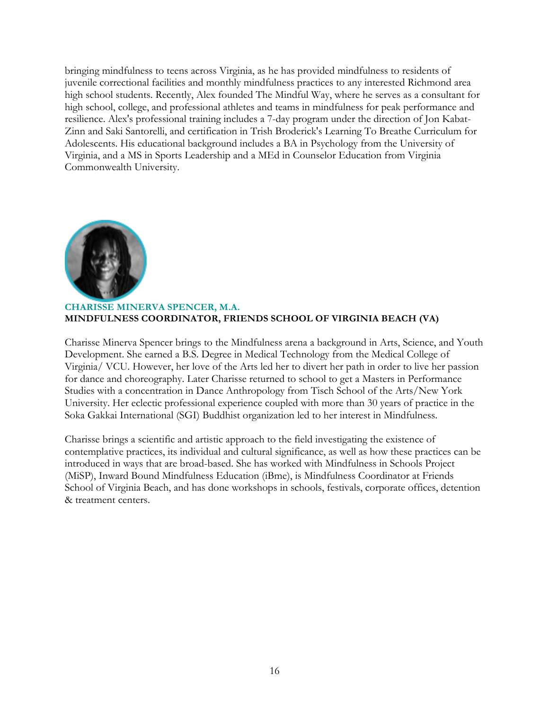bringing mindfulness to teens across Virginia, as he has provided mindfulness to residents of juvenile correctional facilities and monthly mindfulness practices to any interested Richmond area high school students. Recently, Alex founded The Mindful Way, where he serves as a consultant for high school, college, and professional athletes and teams in mindfulness for peak performance and resilience. Alex's professional training includes a 7-day program under the direction of Jon Kabat-Zinn and Saki Santorelli, and certification in Trish Broderick's Learning To Breathe Curriculum for Adolescents. His educational background includes a BA in Psychology from the University of Virginia, and a MS in Sports Leadership and a MEd in Counselor Education from Virginia Commonwealth University.



### **CHARISSE MINERVA SPENCER, M.A. MINDFULNESS COORDINATOR, FRIENDS SCHOOL OF VIRGINIA BEACH (VA)**

Charisse Minerva Spencer brings to the Mindfulness arena a background in Arts, Science, and Youth Development. She earned a B.S. Degree in Medical Technology from the Medical College of Virginia/ VCU. However, her love of the Arts led her to divert her path in order to live her passion for dance and choreography. Later Charisse returned to school to get a Masters in Performance Studies with a concentration in Dance Anthropology from Tisch School of the Arts/New York University. Her eclectic professional experience coupled with more than 30 years of practice in the Soka Gakkai International (SGI) Buddhist organization led to her interest in Mindfulness.

Charisse brings a scientific and artistic approach to the field investigating the existence of contemplative practices, its individual and cultural significance, as well as how these practices can be introduced in ways that are broad-based. She has worked with Mindfulness in Schools Project (MiSP), Inward Bound Mindfulness Education (iBme), is Mindfulness Coordinator at Friends School of Virginia Beach, and has done workshops in schools, festivals, corporate offices, detention & treatment centers.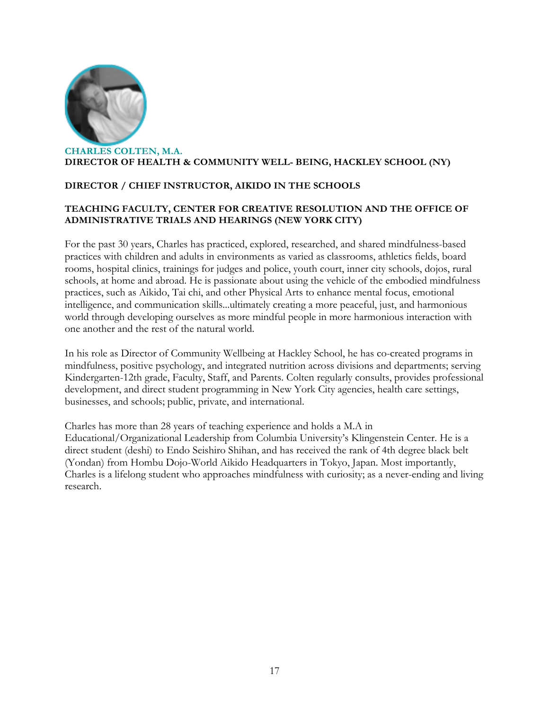

### **DIRECTOR / CHIEF INSTRUCTOR, AIKIDO IN THE SCHOOLS**

### **TEACHING FACULTY, CENTER FOR CREATIVE RESOLUTION AND THE OFFICE OF ADMINISTRATIVE TRIALS AND HEARINGS (NEW YORK CITY)**

For the past 30 years, Charles has practiced, explored, researched, and shared mindfulness-based practices with children and adults in environments as varied as classrooms, athletics fields, board rooms, hospital clinics, trainings for judges and police, youth court, inner city schools, dojos, rural schools, at home and abroad. He is passionate about using the vehicle of the embodied mindfulness practices, such as Aikido, Tai chi, and other Physical Arts to enhance mental focus, emotional intelligence, and communication skills...ultimately creating a more peaceful, just, and harmonious world through developing ourselves as more mindful people in more harmonious interaction with one another and the rest of the natural world.

In his role as Director of Community Wellbeing at Hackley School, he has co-created programs in mindfulness, positive psychology, and integrated nutrition across divisions and departments; serving Kindergarten-12th grade, Faculty, Staff, and Parents. Colten regularly consults, provides professional development, and direct student programming in New York City agencies, health care settings, businesses, and schools; public, private, and international.

Charles has more than 28 years of teaching experience and holds a M.A in Educational/Organizational Leadership from Columbia University's Klingenstein Center. He is a direct student (deshi) to Endo Seishiro Shihan, and has received the rank of 4th degree black belt (Yondan) from Hombu Dojo-World Aikido Headquarters in Tokyo, Japan. Most importantly, Charles is a lifelong student who approaches mindfulness with curiosity; as a never-ending and living research.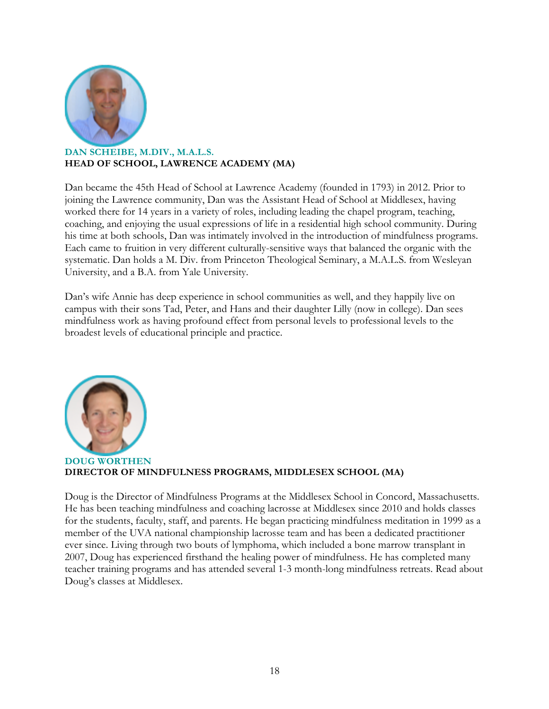

### **DAN SCHEIBE, M.DIV., M.A.L.S. HEAD OF SCHOOL, LAWRENCE ACADEMY (MA)**

Dan became the 45th Head of School at Lawrence Academy (founded in 1793) in 2012. Prior to joining the Lawrence community, Dan was the Assistant Head of School at Middlesex, having worked there for 14 years in a variety of roles, including leading the chapel program, teaching, coaching, and enjoying the usual expressions of life in a residential high school community. During his time at both schools, Dan was intimately involved in the introduction of mindfulness programs. Each came to fruition in very different culturally-sensitive ways that balanced the organic with the systematic. Dan holds a M. Div. from Princeton Theological Seminary, a M.A.L.S. from Wesleyan University, and a B.A. from Yale University.

Dan's wife Annie has deep experience in school communities as well, and they happily live on campus with their sons Tad, Peter, and Hans and their daughter Lilly (now in college). Dan sees mindfulness work as having profound effect from personal levels to professional levels to the broadest levels of educational principle and practice.



**DOUG WORTHEN DIRECTOR OF MINDFULNESS PROGRAMS, MIDDLESEX SCHOOL (MA)** 

Doug is the Director of Mindfulness Programs at the Middlesex School in Concord, Massachusetts. He has been teaching mindfulness and coaching lacrosse at Middlesex since 2010 and holds classes for the students, faculty, staff, and parents. He began practicing mindfulness meditation in 1999 as a member of the UVA national championship lacrosse team and has been a dedicated practitioner ever since. Living through two bouts of lymphoma, which included a bone marrow transplant in 2007, Doug has experienced firsthand the healing power of mindfulness. He has completed many teacher training programs and has attended several 1-3 month-long mindfulness retreats. Read about Doug's classes at Middlesex.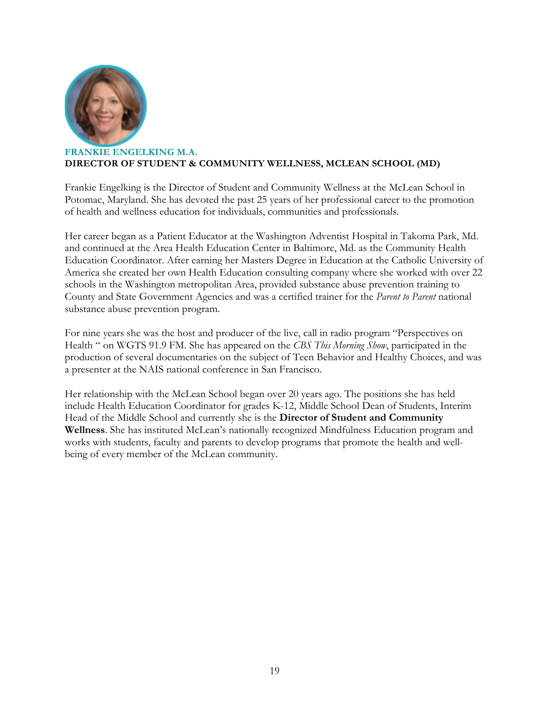

### **FRANKIE ENGELKING M.A. DIRECTOR OF STUDENT & COMMUNITY WELLNESS, MCLEAN SCHOOL (MD)**

Frankie Engelking is the Director of Student and Community Wellness at the McLean School in Potomac, Maryland. She has devoted the past 25 years of her professional career to the promotion of health and wellness education for individuals, communities and professionals.

Her career began as a Patient Educator at the Washington Adventist Hospital in Takoma Park, Md. and continued at the Area Health Education Center in Baltimore, Md. as the Community Health Education Coordinator. After earning her Masters Degree in Education at the Catholic University of America she created her own Health Education consulting company where she worked with over 22 schools in the Washington metropolitan Area, provided substance abuse prevention training to County and State Government Agencies and was a certified trainer for the *Parent to Parent* national substance abuse prevention program.

For nine years she was the host and producer of the live, call in radio program "Perspectives on Health " on WGTS 91.9 FM. She has appeared on the *CBS This Morning Show*, participated in the production of several documentaries on the subject of Teen Behavior and Healthy Choices, and was a presenter at the NAIS national conference in San Francisco.

Her relationship with the McLean School began over 20 years ago. The positions she has held include Health Education Coordinator for grades K-12, Middle School Dean of Students, Interim Head of the Middle School and currently she is the **Director of Student and Community Wellness**. She has instituted McLean's nationally recognized Mindfulness Education program and works with students, faculty and parents to develop programs that promote the health and wellbeing of every member of the McLean community.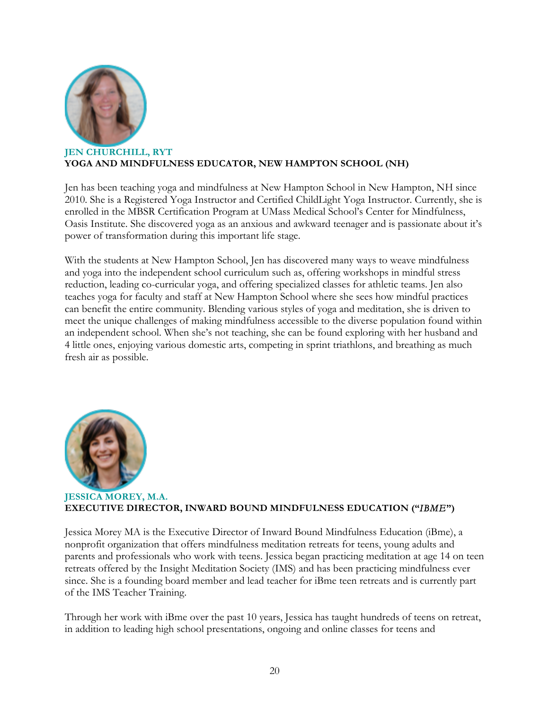

### **JEN CHURCHILL, RYT YOGA AND MINDFULNESS EDUCATOR, NEW HAMPTON SCHOOL (NH)**

Jen has been teaching yoga and mindfulness at New Hampton School in New Hampton, NH since 2010. She is a Registered Yoga Instructor and Certified ChildLight Yoga Instructor. Currently, she is enrolled in the MBSR Certification Program at UMass Medical School's Center for Mindfulness, Oasis Institute. She discovered yoga as an anxious and awkward teenager and is passionate about it's power of transformation during this important life stage.

With the students at New Hampton School, Jen has discovered many ways to weave mindfulness and yoga into the independent school curriculum such as, offering workshops in mindful stress reduction, leading co-curricular yoga, and offering specialized classes for athletic teams. Jen also teaches yoga for faculty and staff at New Hampton School where she sees how mindful practices can benefit the entire community. Blending various styles of yoga and meditation, she is driven to meet the unique challenges of making mindfulness accessible to the diverse population found within an independent school. When she's not teaching, she can be found exploring with her husband and 4 little ones, enjoying various domestic arts, competing in sprint triathlons, and breathing as much fresh air as possible.



### **JESSICA MOREY, M.A. EXECUTIVE DIRECTOR, INWARD BOUND MINDFULNESS EDUCATION ("***IBME***")**

Jessica Morey MA is the Executive Director of Inward Bound Mindfulness Education (iBme), a nonprofit organization that offers mindfulness meditation retreats for teens, young adults and parents and professionals who work with teens. Jessica began practicing meditation at age 14 on teen retreats offered by the Insight Meditation Society (IMS) and has been practicing mindfulness ever since. She is a founding board member and lead teacher for iBme teen retreats and is currently part of the IMS Teacher Training.

Through her work with iBme over the past 10 years, Jessica has taught hundreds of teens on retreat, in addition to leading high school presentations, ongoing and online classes for teens and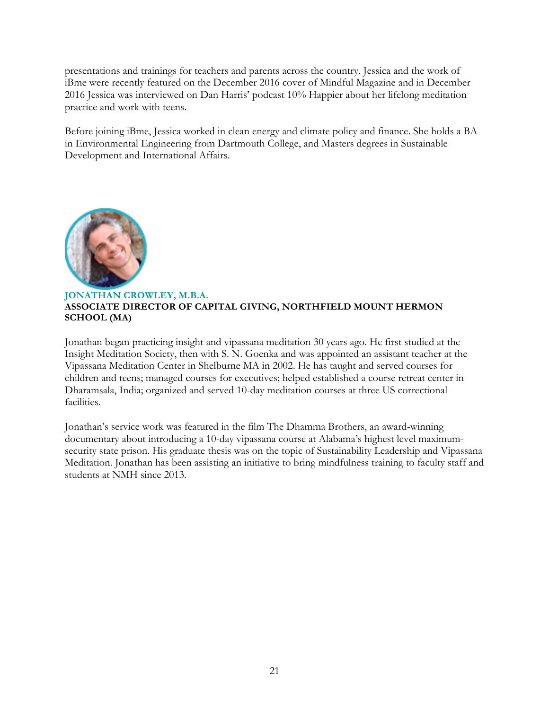presentations and trainings for teachers and parents across the country. Jessica and the work of iBme were recently featured on the December 2016 cover of Mindful Magazine and in December 2016 Jessica was interviewed on Dan Harris' podcast 10% Happier about her lifelong meditation practice and work with teens.

Before joining iBme, Jessica worked in clean energy and climate policy and finance. She holds a BA in Environmental Engineering from Dartmouth College, and Masters degrees in Sustainable Development and International Affairs.



### **JONATHAN CROWLEY, M.B.A. ASSOCIATE DIRECTOR OF CAPITAL GIVING, NORTHFIELD MOUNT HERMON SCHOOL (MA)**

Jonathan began practicing insight and vipassana meditation 30 years ago. He first studied at the Insight Meditation Society, then with S. N. Goenka and was appointed an assistant teacher at the Vipassana Meditation Center in Shelburne MA in 2002. He has taught and served courses for children and teens; managed courses for executives; helped established a course retreat center in Dharamsala, India; organized and served 10-day meditation courses at three US correctional facilities.

Jonathan's service work was featured in the film The Dhamma Brothers, an award-winning documentary about introducing a 10-day vipassana course at Alabama's highest level maximumsecurity state prison. His graduate thesis was on the topic of Sustainability Leadership and Vipassana Meditation. Jonathan has been assisting an initiative to bring mindfulness training to faculty staff and students at NMH since 2013.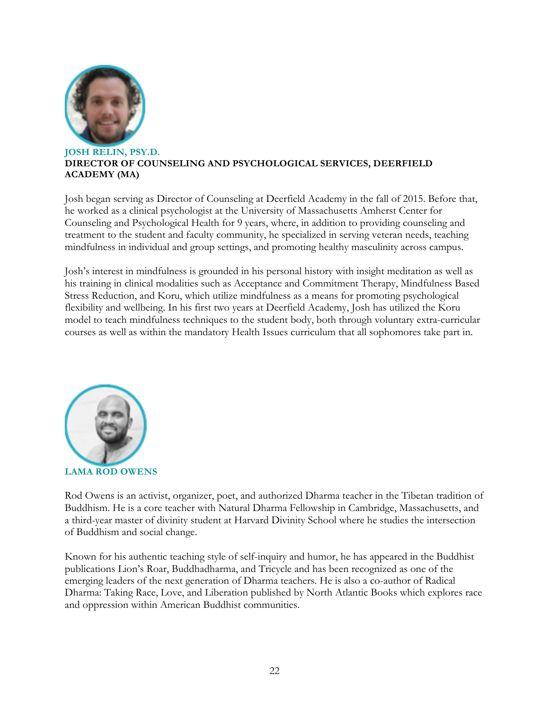

### **JOSH RELIN, PSY.D. DIRECTOR OF COUNSELING AND PSYCHOLOGICAL SERVICES, DEERFIELD ACADEMY (MA)**

Josh began serving as Director of Counseling at Deerfield Academy in the fall of 2015. Before that, he worked as a clinical psychologist at the University of Massachusetts Amherst Center for Counseling and Psychological Health for 9 years, where, in addition to providing counseling and treatment to the student and faculty community, he specialized in serving veteran needs, teaching mindfulness in individual and group settings, and promoting healthy masculinity across campus.

Josh's interest in mindfulness is grounded in his personal history with insight meditation as well as his training in clinical modalities such as Acceptance and Commitment Therapy, Mindfulness Based Stress Reduction, and Koru, which utilize mindfulness as a means for promoting psychological flexibility and wellbeing. In his first two years at Deerfield Academy, Josh has utilized the Koru model to teach mindfulness techniques to the student body, both through voluntary extra-curricular courses as well as within the mandatory Health Issues curriculum that all sophomores take part in.



Rod Owens is an activist, organizer, poet, and authorized Dharma teacher in the Tibetan tradition of Buddhism. He is a core teacher with Natural Dharma Fellowship in Cambridge, Massachusetts, and a third-year master of divinity student at Harvard Divinity School where he studies the intersection of Buddhism and social change.

Known for his authentic teaching style of self-inquiry and humor, he has appeared in the Buddhist publications Lion's Roar, Buddhadharma, and Tricycle and has been recognized as one of the emerging leaders of the next generation of Dharma teachers. He is also a co-author of Radical Dharma: Taking Race, Love, and Liberation published by North Atlantic Books which explores race and oppression within American Buddhist communities.